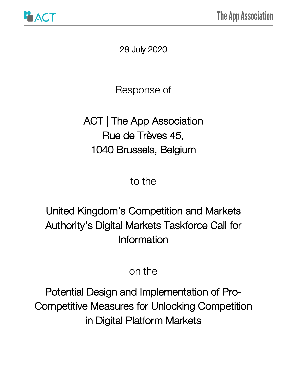

28 July 2020

Response of

# ACT | The App Association Rue de Trèves 45, 1040 Brussels, Belgium

to the

# United Kingdom's Competition and Markets Authority's Digital Markets Taskforce Call for Information

# on the

Potential Design and Implementation of Pro-Competitive Measures for Unlocking Competition in Digital Platform Markets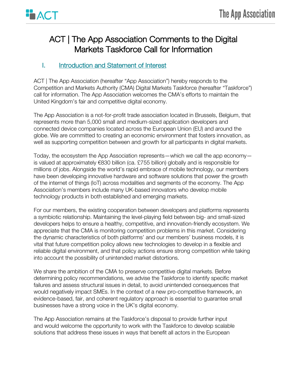

# ACT | The App Association Comments to the Digital Markets Taskforce Call for Information

# I. **Introduction and Statement of Interest**

ACT | The App Association (hereafter "App Association") hereby responds to the Competition and Markets Authority (CMA) Digital Markets Taskforce (hereafter "Taskforce") call for information. The App Association welcomes the CMA's efforts to maintain the United Kingdom's fair and competitive digital economy.

The App Association is a not-for-profit trade association located in Brussels, Belgium, that represents more than 5,000 small and medium-sized application developers and connected device companies located across the European Union (EU) and around the globe. We are committed to creating an economic environment that fosters innovation, as well as supporting competition between and growth for all participants in digital markets.

Today, the ecosystem the App Association represents—which we call the app economy is valued at approximately €830 billion (ca. £755 billion) globally and is responsible for millions of jobs. Alongside the world's rapid embrace of mobile technology, our members have been developing innovative hardware and software solutions that power the growth of the internet of things (IoT) across modalities and segments of the economy. The App Association's members include many UK-based innovators who develop mobile technology products in both established and emerging markets.

For our members, the existing cooperation between developers and platforms represents a symbiotic relationship. Maintaining the level-playing field between big- and small-sized developers helps to ensure a healthy, competitive, and innovation-friendly ecosystem. We appreciate that the CMA is monitoring competition problems in this market. Considering the dynamic characteristics of both platforms' and our members' business models, it is vital that future competition policy allows new technologies to develop in a flexible and reliable digital environment, and that policy actions ensure strong competition while taking into account the possibility of unintended market distortions.

We share the ambition of the CMA to preserve competitive digital markets. Before determining policy recommendations, we advise the Taskforce to identify specific market failures and assess structural issues in detail, to avoid unintended consequences that would negatively impact SMEs. In the context of a new pro-competitive framework, an evidence-based, fair, and coherent regulatory approach is essential to guarantee small businesses have a strong voice in the UK's digital economy.

The App Association remains at the Taskforce's disposal to provide further input and would welcome the opportunity to work with the Taskforce to develop scalable solutions that address these issues in ways that benefit all actors in the European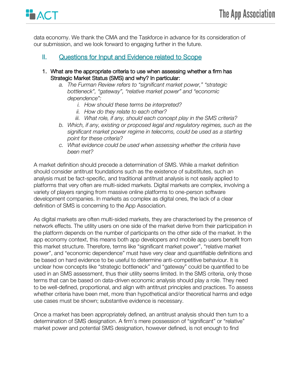

data economy. We thank the CMA and the Taskforce in advance for its consideration of our submission, and we look forward to engaging further in the future.

## II. Questions for Input and Evidence related to Scope

- 1. What are the appropriate criteria to use when assessing whether a firm has Strategic Market Status (SMS) and why? In particular:
	- *a. The Furman Review refers to "significant market power," "strategic bottleneck", "gateway", "relative market power" and "economic dependence":* 
		- *i. How should these terms be interpreted?*
		- *ii. How do they relate to each other?*
		- *iii. What role, if any, should each concept play in the SMS criteria?*
	- *b. Which, if any, existing or proposed legal and regulatory regimes, such as the significant market power regime in telecoms, could be used as a starting point for these criteria?*
	- *c. What evidence could be used when assessing whether the criteria have been met?*

A market definition should precede a determination of SMS. While a market definition should consider antitrust foundations such as the existence of substitutes, such an analysis must be fact-specific, and traditional antitrust analysis is not easily applied to platforms that very often are multi-sided markets. Digital markets are complex, involving a variety of players ranging from massive online platforms to one-person software development companies. In markets as complex as digital ones, the lack of a clear definition of SMS is concerning to the App Association.

As digital markets are often multi-sided markets, they are characterised by the presence of network effects. The utility users on one side of the market derive from their participation in the platform depends on the number of participants on the other side of the market. In the app economy context, this means both app developers and mobile app users benefit from this market structure. Therefore, terms like "significant market power", "relative market power", and "economic dependence" must have very clear and quantifiable definitions and be based on hard evidence to be useful to determine anti-competitive behaviour. It is unclear how concepts like "strategic bottleneck" and "gateway" could be quantified to be used in an SMS assessment, thus their utility seems limited. In the SMS criteria, only those terms that can be based on data-driven economic analysis should play a role. They need to be well-defined, proportional, and align with antitrust principles and practices. To assess whether criteria have been met, more than hypothetical and/or theoretical harms and edge use cases must be shown; substantive evidence is necessary.

Once a market has been appropriately defined, an antitrust analysis should then turn to a determination of SMS designation. A firm's mere possession of "significant" or "relative" market power and potential SMS designation, however defined, is not enough to find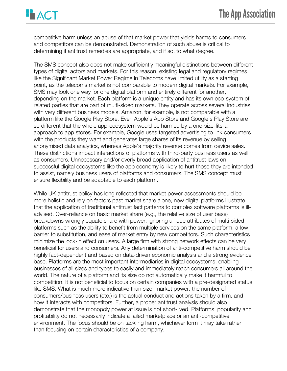

competitive harm unless an abuse of that market power that yields harms to consumers and competitors can be demonstrated. Demonstration of such abuse is critical to determining if antitrust remedies are appropriate, and if so, to what degree.

The SMS concept also does not make sufficiently meaningful distinctions between different types of digital actors and markets. For this reason, existing legal and regulatory regimes like the Significant Market Power Regime in Telecoms have limited utility as a starting point, as the telecoms market is not comparable to modern digital markets. For example, SMS may look one way for one digital platform and entirely different for another, depending on the market. Each platform is a unique entity and has its own eco-system of related parties that are part of multi-sided markets. They operate across several industries with very different business models. Amazon, for example, is not comparable with a platform like the Google Play Store. Even Apple's App Store and Google's Play Store are so different that the whole app-ecosystem would be harmed by a one-size-fits-all approach to app stores. For example, Google uses targeted advertising to link consumers with the products they want and generates large shares of its revenue by selling anonymised data analytics, whereas Apple's majority revenue comes from device sales. These distinctions impact interactions of platforms with third-party business users as well as consumers. Unnecessary and/or overly broad application of antitrust laws on successful digital ecosystems like the app economy is likely to hurt those they are intended to assist, namely business users of platforms and consumers. The SMS concept must ensure flexibility and be adaptable to each platform.

While UK antitrust policy has long reflected that market power assessments should be more holistic and rely on factors past market share alone, new digital platforms illustrate that the application of traditional antitrust fact patterns to complex software platforms is illadvised. Over-reliance on basic market share (e.g., the relative size of user base) breakdowns wrongly equate share with power, ignoring unique attributes of multi-sided platforms such as the ability to benefit from multiple services on the same platform, a low barrier to substitution, and ease of market entry by new competitors. Such characteristics minimize the lock-in effect on users. A large firm with strong network effects can be very beneficial for users and consumers. Any determination of anti-competitive harm should be highly fact-dependent and based on data-driven economic analysis and a strong evidence base. Platforms are the most important intermediaries in digital ecosystems, enabling businesses of all sizes and types to easily and immediately reach consumers all around the world. The nature of a platform and its size do not automatically make it harmful to competition. It is not beneficial to focus on certain companies with a pre-designated status like SMS. What is much more indicative than size, market power, the number of consumers/business users (etc.) is the actual conduct and actions taken by a firm, and how it interacts with competitors. Further, a proper antitrust analysis should also demonstrate that the monopoly power at issue is not short-lived. Platforms' popularity and profitability do not necessarily indicate a failed marketplace or an anti-competitive environment. The focus should be on tackling harm, whichever form it may take rather than focusing on certain characteristics of a company.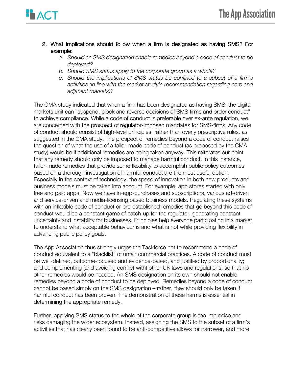

- 2. What implications should follow when a firm is designated as having SMS? For example:
	- *a. Should an SMS designation enable remedies beyond a code of conduct to be deployed?*
	- *b. Should SMS status apply to the corporate group as a whole?*
	- *c. Should the implications of SMS status be confined to a subset of a firm's activities (in line with the market study's recommendation regarding core and adjacent markets)?*

The CMA study indicated that when a firm has been designated as having SMS, the digital markets unit can "suspend, block and reverse decisions of SMS firms and order conduct" to achieve compliance. While a code of conduct is preferable over ex-ante regulation, we are concerned with the prospect of regulator-imposed mandates for SMS-firms. Any code of conduct should consist of high-level principles, rather than overly prescriptive rules, as suggested in the CMA study. The prospect of remedies beyond a code of conduct raises the question of what the use of a tailor-made code of conduct (as proposed by the CMA study) would be if additional remedies are being taken anyway. This reiterates our point that any remedy should only be imposed to manage harmful conduct. In this instance, tailor-made remedies that provide some flexibility to accomplish public policy outcomes based on a thorough investigation of harmful conduct are the most useful option. Especially in the context of technology, the speed of innovation in both new products and business models must be taken into account. For example, app stores started with only free and paid apps. Now we have in-app-purchases and subscriptions, various ad-driven and service-driven and media-licensing based business models. Regulating these systems with an inflexible code of conduct or pre-established remedies that go beyond this code of conduct would be a constant game of catch-up for the regulator, generating constant uncertainty and instability for businesses. Principles help everyone participating in a market to understand what acceptable behaviour is and what is not while providing flexibility in advancing public policy goals.

The App Association thus strongly urges the Taskforce not to recommend a code of conduct equivalent to a "blacklist" of unfair commercial practices. A code of conduct must be well-defined, outcome-focused and evidence-based, and justified by proportionality; and complementing (and avoiding conflict with) other UK laws and regulations, so that no other remedies would be needed. An SMS designation on its own should not enable remedies beyond a code of conduct to be deployed. Remedies beyond a code of conduct cannot be based simply on the SMS designation – rather, they should only be taken if harmful conduct has been proven. The demonstration of these harms is essential in determining the appropriate remedy.

Further, applying SMS status to the whole of the corporate group is too imprecise and risks damaging the wider ecosystem. Instead, assigning the SMS to the subset of a firm's activities that has clearly been found to be anti-competitive allows for narrower, and more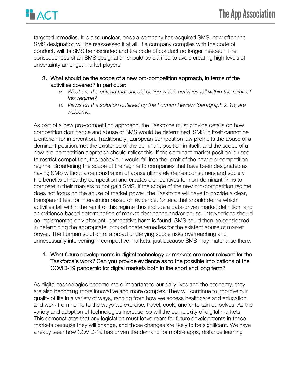

targeted remedies. It is also unclear, once a company has acquired SMS, how often the SMS designation will be reassessed if at all. If a company complies with the code of conduct, will its SMS be rescinded and the code of conduct no longer needed? The consequences of an SMS designation should be clarified to avoid creating high levels of uncertainty amongst market players.

- 3. What should be the scope of a new pro-competition approach, in terms of the activities covered? In particular:
	- *a. What are the criteria that should define which activities fall within the remit of this regime?*
	- *b. Views on the solution outlined by the Furman Review (paragraph 2.13) are welcome.*

As part of a new pro-competition approach, the Taskforce must provide details on how competition dominance and abuse of SMS would be determined. SMS in itself cannot be a criterion for intervention. Traditionally, European competition law prohibits the abuse of a dominant position, not the existence of the dominant position in itself, and the scope of a new pro-competition approach should reflect this. If the dominant market position is used to restrict competition, this behaviour would fall into the remit of the new pro-competition regime. Broadening the scope of the regime to companies that have been designated as having SMS without a demonstration of abuse ultimately denies consumers and society the benefits of healthy competition and creates disincentives for non-dominant firms to compete in their markets to not gain SMS. If the scope of the new pro-competition regime does not focus on the abuse of market power, the Taskforce will have to provide a clear, transparent test for intervention based on evidence. Criteria that should define which activities fall within the remit of this regime thus include a data-driven market definition, and an evidence-based determination of market dominance and/or abuse. Interventions should be implemented only after anti-competitive harm is found. SMS could then be considered in determining the appropriate, proportionate remedies for the existent abuse of market power. The Furman solution of a broad underlying scope risks overreaching and unnecessarily intervening in competitive markets, just because SMS may materialise there.

#### 4. What future developments in digital technology or markets are most relevant for the Taskforce's work? Can you provide evidence as to the possible implications of the COVID-19 pandemic for digital markets both in the short and long term?

As digital technologies become more important to our daily lives and the economy, they are also becoming more innovative and more complex. They will continue to improve our quality of life in a variety of ways, ranging from how we access healthcare and education, and work from home to the ways we exercise, travel, cook, and entertain ourselves. As the variety and adoption of technologies increase, so will the complexity of digital markets. This demonstrates that any legislation must leave room for future developments in these markets because they will change, and those changes are likely to be significant. We have already seen how COVID-19 has driven the demand for mobile apps, distance learning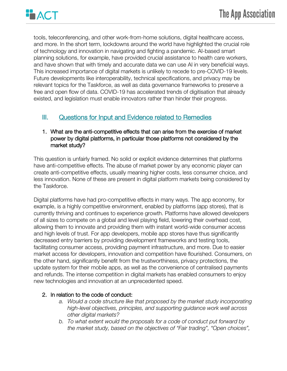

tools, teleconferencing, and other work-from-home solutions, digital healthcare access, and more. In the short term, lockdowns around the world have highlighted the crucial role of technology and innovation in navigating and fighting a pandemic. AI-based smart planning solutions, for example, have provided crucial assistance to health care workers, and have shown that with timely and accurate data we can use AI in very beneficial ways. This increased importance of digital markets is unlikely to recede to pre-COVID-19 levels. Future developments like interoperability, technical specifications, and privacy may be relevant topics for the Taskforce, as well as data governance frameworks to preserve a free and open flow of data. COVID-19 has accelerated trends of digitisation that already existed, and legislation must enable innovators rather than hinder their progress.

## III. Questions for Input and Evidence related to Remedies

#### 1. What are the anti-competitive effects that can arise from the exercise of market power by digital platforms, in particular those platforms not considered by the market study?

This question is unfairly framed. No solid or explicit evidence determines that platforms have anti-competitive effects. The abuse of market power by any economic player can create anti-competitive effects, usually meaning higher costs, less consumer choice, and less innovation. None of these are present in digital platform markets being considered by the Taskforce.

Digital platforms have had pro-competitive effects in many ways. The app economy, for example, is a highly competitive environment, enabled by platforms (app stores), that is currently thriving and continues to experience growth. Platforms have allowed developers of all sizes to compete on a global and level playing field, lowering their overhead cost, allowing them to innovate and providing them with instant world-wide consumer access and high levels of trust. For app developers, mobile app stores have thus significantly decreased entry barriers by providing development frameworks and testing tools, facilitating consumer access, providing payment infrastructure, and more. Due to easier market access for developers, innovation and competition have flourished. Consumers, on the other hand, significantly benefit from the trustworthiness, privacy protections, the update system for their mobile apps, as well as the convenience of centralised payments and refunds. The intense competition in digital markets has enabled consumers to enjoy new technologies and innovation at an unprecedented speed.

#### 2. In relation to the code of conduct:

- *a. Would a code structure like that proposed by the market study incorporating high-level objectives, principles, and supporting guidance work well across other digital markets?*
- *b. To what extent would the proposals for a code of conduct put forward by the market study, based on the objectives of "Fair trading", "Open choices",*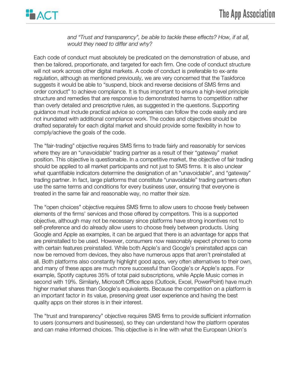

*and "Trust and transparency", be able to tackle these effects? How, if at all, would they need to differ and why?* 

Each code of conduct must absolutely be predicated on the demonstration of abuse, and then be tailored, proportionate, and targeted for each firm. One code of conduct structure will not work across other digital markets. A code of conduct is preferable to ex-ante regulation, although as mentioned previously, we are very concerned that the Taskforce suggests it would be able to "suspend, block and reverse decisions of SMS firms and order conduct" to achieve compliance. It is thus important to ensure a high-level principle structure and remedies that are responsive to demonstrated harms to competition rather than overly detailed and prescriptive rules, as suggested in the questions. Supporting guidance must include practical advice so companies can follow the code easily and are not inundated with additional compliance work. The codes and objectives should be drafted separately for each digital market and should provide some flexibility in how to comply/achieve the goals of the code.

The "fair-trading" objective requires SMS firms to trade fairly and reasonably for services where they are an "unavoidable" trading partner as a result of their "gateway" market position. This objective is questionable. In a competitive market, the objective of fair trading should be applied to all market participants and not just to SMS firms. It is also unclear what quantifiable indicators determine the designation of an "unavoidable", and "gateway" trading partner. In fact, large platforms that constitute "unavoidable" trading partners often use the same terms and conditions for every business user, ensuring that everyone is treated in the same fair and reasonable way, no matter their size.

The "open choices" objective requires SMS firms to allow users to choose freely between elements of the firms' services and those offered by competitors. This is a supported objective, although may not be necessary since platforms have strong incentives not to self-preference and do already allow users to choose freely between products. Using Google and Apple as examples, it can be argued that there is an advantage for apps that are preinstalled to be used. However, consumers now reasonably expect phones to come with certain features preinstalled. While both Apple's and Google's preinstalled apps can now be removed from devices, they also have numerous apps that aren't preinstalled at all. Both platforms also constantly highlight good apps, very often alternatives to their own, and many of these apps are much more successful than Google's or Apple's apps. For example, Spotify captures 35% of total paid subscriptions, while Apple Music comes in second with 19%. Similarly, Microsoft Office apps (Outlook, Excel, PowerPoint) have much higher market shares than Google's equivalents. Because the competition on a platform is an important factor in its value, preserving great user experience and having the best quality apps on their stores is in their interest.

The "trust and transparency" objective requires SMS firms to provide sufficient information to users (consumers and businesses), so they can understand how the platform operates and can make informed choices. This objective is in line with what the European Union's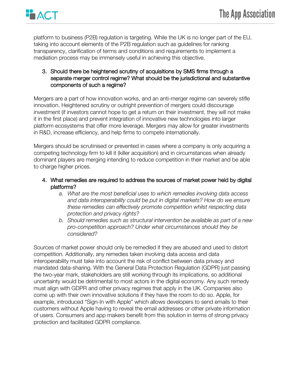

platform to business (P2B) regulation is targeting. While the UK is no longer part of the EU, taking into account elements of the P2B regulation such as guidelines for ranking transparency, clarification of terms and conditions and requirements to implement a mediation process may be immensely useful in achieving this objective.

#### 3. Should there be heightened scrutiny of acquisitions by SMS firms through a separate merger control regime? What should be the jurisdictional and substantive components of such a regime?

Mergers are a part of how innovation works, and an anti-merger regime can severely stifle innovation. Heightened scrutiny or outright prevention of mergers could discourage investment (if investors cannot hope to get a return on their investment, they will not make it in the first place) and prevent integration of innovative new technologies into larger platform ecosystems that offer more leverage. Mergers may allow for greater investments in R&D, increase efficiency, and help firms to compete internationally.

Mergers should be scrutinised or prevented in cases where a company is only acquiring a competing technology firm to kill it (killer acquisition) and in circumstances when already dominant players are merging intending to reduce competition in their market and be able to charge higher prices.

#### 4. What remedies are required to address the sources of market power held by digital platforms?

- *a. What are the most beneficial uses to which remedies involving data access and data interoperability could be put in digital markets? How do we ensure these remedies can effectively promote competition whilst respecting data protection and privacy rights?*
- *b. Should remedies such as structural intervention be available as part of a new pro-competition approach? Under what circumstances should they be considered?*

Sources of market power should only be remedied if they are abused and used to distort competition. Additionally, any remedies taken involving data access and data interoperability must take into account the risk of conflict between data privacy and mandated data-sharing. With the General Data Protection Regulation (GDPR) just passing the two-year mark, stakeholders are still working through its implications, so additional uncertainty would be detrimental to most actors in the digital economy. Any such remedy must align with GDPR and other privacy regimes that apply in the UK. Companies also come up with their own innovative solutions if they have the room to do so. Apple, for example, introduced "Sign-In with Apple" which allows developers to send emails to their customers without Apple having to reveal the email addresses or other private information of users. Consumers and app makers benefit from this solution in terms of strong privacy protection and facilitated GDPR compliance.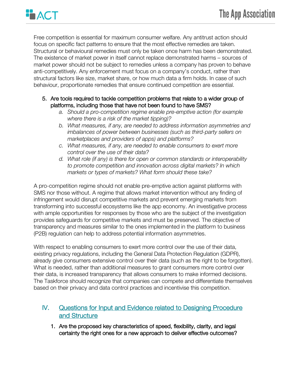

Free competition is essential for maximum consumer welfare. Any antitrust action should focus on specific fact patterns to ensure that the most effective remedies are taken. Structural or behavioural remedies must only be taken once harm has been demonstrated. The existence of market power in itself cannot replace demonstrated harms – sources of market power should not be subject to remedies unless a company has proven to behave anti-competitively. Any enforcement must focus on a company's conduct, rather than structural factors like size, market share, or how much data a firm holds. In case of such behaviour, proportionate remedies that ensure continued competition are essential.

- 5. Are tools required to tackle competition problems that relate to a wider group of platforms, including those that have not been found to have SMS?
	- *a. Should a pro-competition regime enable pre-emptive action (for example where there is a risk of the market tipping)?*
	- *b. What measures, if any, are needed to address information asymmetries and imbalances of power between businesses (such as third-party sellers on marketplaces and providers of apps) and platforms?*
	- *c. What measures, if any, are needed to enable consumers to exert more control over the use of their data?*
	- *d. What role (if any) is there for open or common standards or interoperability to promote competition and innovation across digital markets? In which markets or types of markets? What form should these take?*

A pro-competition regime should not enable pre-emptive action against platforms with SMS nor those without. A regime that allows market intervention without any finding of infringement would disrupt competitive markets and prevent emerging markets from transforming into successful ecosystems like the app economy. An investigative process with ample opportunities for responses by those who are the subject of the investigation provides safeguards for competitive markets and must be preserved. The objective of transparency and measures similar to the ones implemented in the platform to business (P2B) regulation can help to address potential information asymmetries.

With respect to enabling consumers to exert more control over the use of their data, existing privacy regulations, including the General Data Protection Regulation (GDPR), already give consumers extensive control over their data (such as the right to be forgotten). What is needed, rather than additional measures to grant consumers more control over their data, is increased transparency that allows consumers to make informed decisions. The Taskforce should recognize that companies can compete and differentiate themselves based on their privacy and data control practices and incentivise this competition.

## IV. Questions for Input and Evidence related to Designing Procedure and Structure

1. Are the proposed key characteristics of speed, flexibility, clarity, and legal certainty the right ones for a new approach to deliver effective outcomes?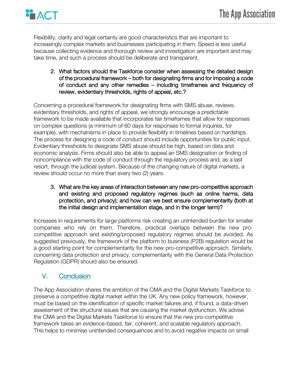

Flexibility, clarity and legal certainty are good characteristics that are important to increasingly complex markets and businesses participating in them. Speed is less useful because collecting evidence and thorough review and investigation are important and may take time, and such a process should be deliberate and transparent.

2. What factors should the Taskforce consider when assessing the detailed design of the procedural framework – both for designating firms and for imposing a code of conduct and any other remedies – including timeframes and frequency of review, evidentiary thresholds, rights of appeal, etc.?

Concerning a procedural framework for designating firms with SMS abuse, reviews, evidentiary thresholds, and rights of appeal, we strongly encourage a predictable framework to be made available that incorporates fair timeframes that allow for responses on complex questions (a minimum of 60 days for responses to formal inquiries, for example), with mechanisms in place to provide flexibility in timelines based on hardships. The process for designing a code of conduct should include opportunities for public input. Evidentiary thresholds to designate SMS abuse should be high, based on data and economic analysis. Firms should also be able to appeal an SMS designation or finding of noncompliance with the code of conduct through the regulatory process and, as a last resort, through the judicial system. Because of the changing nature of digital markets, a review should occur no more than every two (2) years.

3. What are the key areas of interaction between any new pro-competitive approach and existing and proposed regulatory regimes (such as online harms, data protection, and privacy); and how can we best ensure complementarity (both at the initial design and implementation stage, and in the longer term)?

Increases in requirements for large platforms risk creating an unintended burden for smaller companies who rely on them. Therefore, practical overlaps between the new procompetitive approach and existing/proposed regulatory regimes should be avoided. As suggested previously, the framework of the platform to business (P2B) regulation would be a good starting point for complementarity for the new pro-competitive approach. Similarly, concerning data protection and privacy, complementarity with the General Data Protection Regulation (GDPR) should also be ensured.

## V. Conclusion

The App Association shares the ambition of the CMA and the Digital Markets Taskforce to preserve a competitive digital market within the UK. Any new policy framework, however, must be based on the identification of specific market failures and, if found, a data-driven assessment of the structural issues that are causing the market dysfunction. We advise the CMA and the Digital Markets Taskforce to ensure that the new pro-competitive framework takes an evidence-based, fair, coherent, and scalable regulatory approach. This helps to minimise unintended consequences and to avoid negative impacts on small